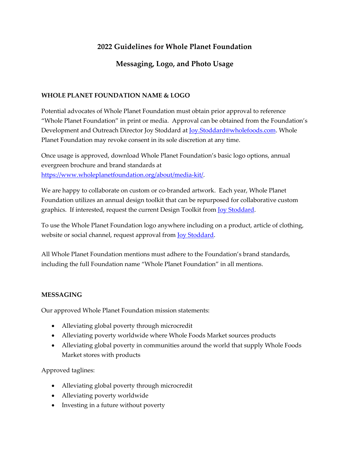# **2022 Guidelines for Whole Planet Foundation**

## **Messaging, Logo, and Photo Usage**

## **WHOLE PLANET FOUNDATION NAME & LOGO**

Potential advocates of Whole Planet Foundation must obtain prior approval to reference "Whole Planet Foundation" in print or media. Approval can be obtained from the Foundation's Development and Outreach Director Joy Stoddard at Joy.Stoddard@wholefoods.com. Whole Planet Foundation may revoke consent in its sole discretion at any time.

Once usage is approved, download Whole Planet Foundation's basic logo options, annual evergreen brochure and brand standards at https://www.wholeplanetfoundation.org/about/media-kit/.

We are happy to collaborate on custom or co-branded artwork. Each year, Whole Planet Foundation utilizes an annual design toolkit that can be repurposed for collaborative custom graphics. If interested, request the current Design Toolkit from Joy Stoddard.

To use the Whole Planet Foundation logo anywhere including on a product, article of clothing, website or social channel, request approval from Joy Stoddard.

All Whole Planet Foundation mentions must adhere to the Foundation's brand standards, including the full Foundation name "Whole Planet Foundation" in all mentions.

### **MESSAGING**

Our approved Whole Planet Foundation mission statements:

- Alleviating global poverty through microcredit
- Alleviating poverty worldwide where Whole Foods Market sources products
- Alleviating global poverty in communities around the world that supply Whole Foods Market stores with products

Approved taglines:

- Alleviating global poverty through microcredit
- Alleviating poverty worldwide
- Investing in a future without poverty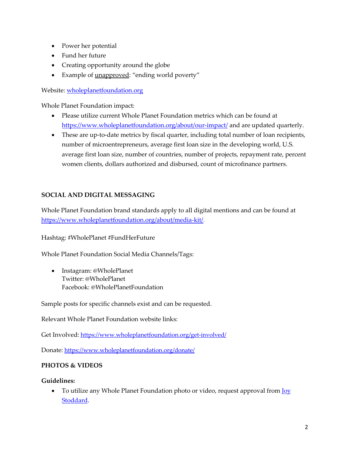- Power her potential
- Fund her future
- Creating opportunity around the globe
- Example of unapproved: "ending world poverty"

Website: wholeplanetfoundation.org

Whole Planet Foundation impact:

- Please utilize current Whole Planet Foundation metrics which can be found at https://www.wholeplanetfoundation.org/about/our-impact/ and are updated quarterly.
- These are up-to-date metrics by fiscal quarter, including total number of loan recipients, number of microentrepreneurs, average first loan size in the developing world, U.S. average first loan size, number of countries, number of projects, repayment rate, percent women clients, dollars authorized and disbursed, count of microfinance partners.

## **SOCIAL AND DIGITAL MESSAGING**

Whole Planet Foundation brand standards apply to all digital mentions and can be found at https://www.wholeplanetfoundation.org/about/media-kit/.

Hashtag: #WholePlanet #FundHerFuture

Whole Planet Foundation Social Media Channels/Tags:

• Instagram: @WholePlanet Twitter: @WholePlanet Facebook: @WholePlanetFoundation

Sample posts for specific channels exist and can be requested.

Relevant Whole Planet Foundation website links:

Get Involved: https://www.wholeplanetfoundation.org/get-involved/

Donate: https://www.wholeplanetfoundation.org/donate/

### **PHOTOS & VIDEOS**

### **Guidelines:**

• To utilize any Whole Planet Foundation photo or video, request approval from **Joy** Stoddard.